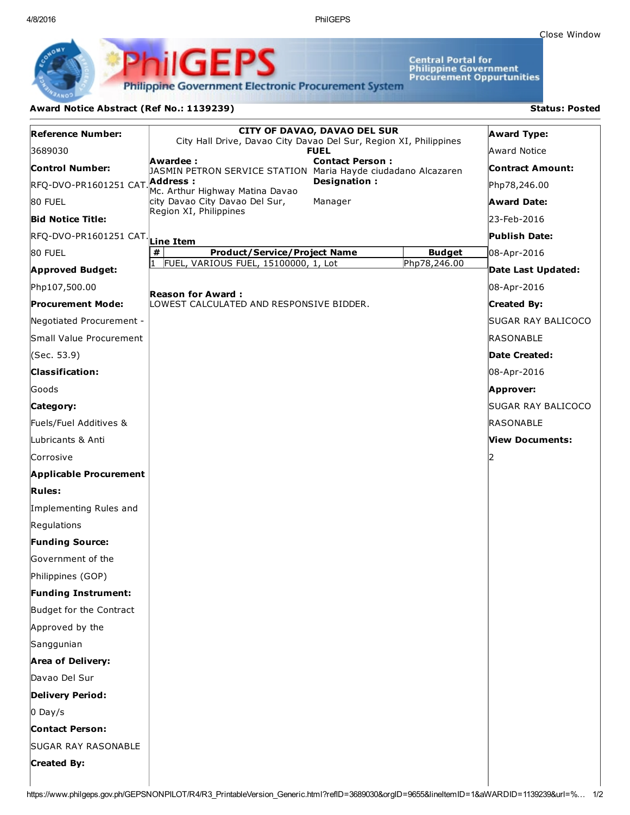4/8/2016 PhilGEPS

Close [Window](javascript:window.close();)

Central Portal for<br>Philippine Government<br>Procurement Oppurtunities

**Philippine Government Electronic Procurement System** 

PhilGEPS

## Award Notice Abstract (Ref No.: 1139239) Status: Posted

| <b>Reference Number:</b>                 | <b>CITY OF DAVAO, DAVAO DEL SUR</b>                                                                  |              | <b>Award Type:</b>   |
|------------------------------------------|------------------------------------------------------------------------------------------------------|--------------|----------------------|
| 3689030                                  | City Hall Drive, Davao City Davao Del Sur, Region XI, Philippines<br><b>FUEL</b>                     |              | <b>Award Notice</b>  |
| <b>Control Number:</b>                   | Awardee :<br><b>Contact Person:</b><br>JASMIN PETRON SERVICE STATION Maria Hayde ciudadano Alcazaren |              | Contract Amount:     |
| RFQ-DVO-PR1601251 CAT Address :          | Designation:<br>Mc. Arthur Highway Matina Davao                                                      |              | Php78,246.00         |
| 80 FUEL                                  | city Davao City Davao Del Sur,<br>Manager                                                            |              | <b>Award Date:</b>   |
| <b>Bid Notice Title:</b>                 | Region XI, Philippines                                                                               |              | 23-Feb-2016          |
| RFQ-DVO-PR1601251 CAT. Lin <u>e Item</u> |                                                                                                      |              | <b>Publish Date:</b> |
| 80 FUEL                                  | #<br><b>Product/Service/Project Name</b><br><b>Budget</b>                                            |              | 08-Apr-2016          |
| <b>Approved Budget:</b>                  | FUEL, VARIOUS FUEL, 15100000, 1, Lot                                                                 | Php78,246.00 | Date Last Updated:   |
| Php107,500.00                            | <b>Reason for Award :</b><br>LOWEST CALCULATED AND RESPONSIVE BIDDER.                                |              | 08-Apr-2016          |
| <b>Procurement Mode:</b>                 |                                                                                                      |              | <b>Created By:</b>   |
| Negotiated Procurement -                 |                                                                                                      |              | SUGAR RAY BALICOCO   |
| Small Value Procurement                  |                                                                                                      |              | <b>RASONABLE</b>     |
| (Sec. 53.9)                              |                                                                                                      |              | Date Created:        |
| <b>Classification:</b>                   |                                                                                                      |              | 08-Apr-2016          |
| lGoods                                   |                                                                                                      |              | Approver:            |
| Category:                                |                                                                                                      |              | SUGAR RAY BALICOCO   |
| Fuels/Fuel Additives &                   |                                                                                                      |              | RASONABLE            |
| Lubricants & Anti                        |                                                                                                      |              | View Documents:      |
| Corrosive                                |                                                                                                      |              |                      |
| <b>Applicable Procurement</b>            |                                                                                                      |              |                      |
| <b>Rules:</b>                            |                                                                                                      |              |                      |
| Implementing Rules and                   |                                                                                                      |              |                      |
| Regulations                              |                                                                                                      |              |                      |
| <b>Funding Source:</b>                   |                                                                                                      |              |                      |
| <b>Government of the</b>                 |                                                                                                      |              |                      |
| Philippines (GOP)                        |                                                                                                      |              |                      |
| <b>Funding Instrument:</b>               |                                                                                                      |              |                      |
| Budget for the Contract                  |                                                                                                      |              |                      |
| Approved by the                          |                                                                                                      |              |                      |
| Sanggunian                               |                                                                                                      |              |                      |
| <b>Area of Delivery:</b>                 |                                                                                                      |              |                      |
| Davao Del Sur                            |                                                                                                      |              |                      |
| <b>Delivery Period:</b>                  |                                                                                                      |              |                      |
| $0$ Day/s                                |                                                                                                      |              |                      |
| <b>Contact Person:</b>                   |                                                                                                      |              |                      |
| <b>SUGAR RAY RASONABLE</b>               |                                                                                                      |              |                      |
| <b>Created By:</b>                       |                                                                                                      |              |                      |
|                                          |                                                                                                      |              |                      |